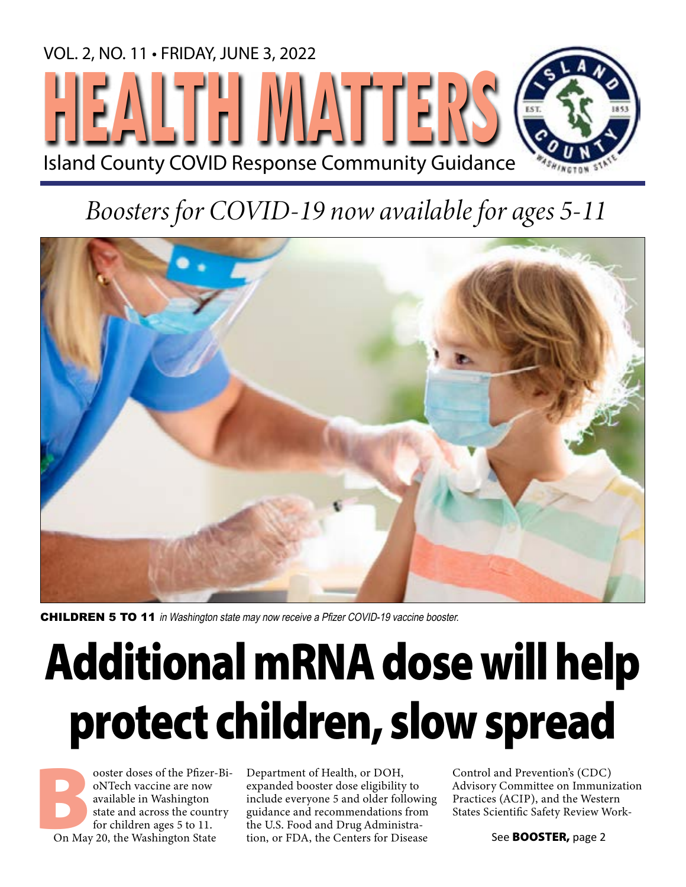

# *Boosters for COVID-19 now available for ages 5-11*



**CHILDREN 5 TO 11** in Washington state may now receive a Pfizer COVID-19 vaccine booster.

# Additional mRNA dose will help protect children, slow spread

ooster doses of the Pfizer-Bi-<br>
oNTech vaccine are now<br>
available in Washington<br>
state and across the country<br>
for children ages 5 to 11.<br>
On May 20, the Washington State oNTech vaccine are now available in Washington state and across the country for children ages 5 to 11.

Department of Health, or DOH, expanded booster dose eligibility to include everyone 5 and older following guidance and recommendations from the U.S. Food and Drug Administration, or FDA, the Centers for Disease

Control and Prevention's (CDC) Advisory Committee on Immunization Practices (ACIP), and the Western States Scientific Safety Review Work-

See **BOOSTER**, page 2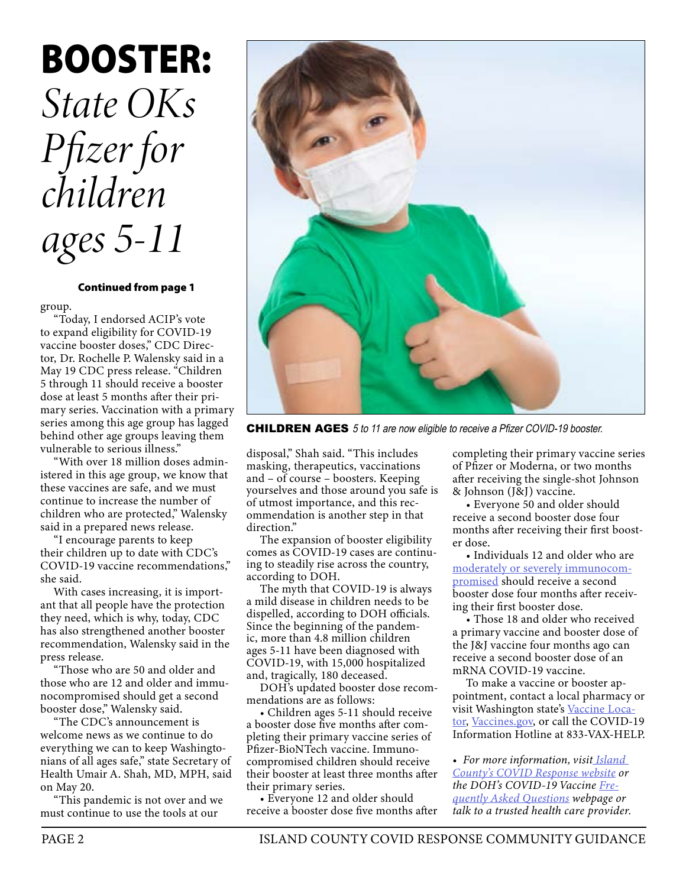# BOOSTER: *State OKs Pfizer for children ages 5-11*

#### Continued from page 1

group.

"Today, I endorsed ACIP's vote to expand eligibility for COVID-19 vaccine booster doses," CDC Director, Dr. Rochelle P. Walensky said in a May 19 CDC press release. "Children 5 through 11 should receive a booster dose at least 5 months after their primary series. Vaccination with a primary series among this age group has lagged behind other age groups leaving them vulnerable to serious illness."

"With over 18 million doses administered in this age group, we know that these vaccines are safe, and we must continue to increase the number of children who are protected," Walensky said in a prepared news release.

"I encourage parents to keep their children up to date with CDC's COVID-19 vaccine recommendations," she said.

With cases increasing, it is important that all people have the protection they need, which is why, today, CDC has also strengthened another booster recommendation, Walensky said in the press release.

"Those who are 50 and older and those who are 12 and older and immunocompromised should get a second booster dose," Walensky said.

"The CDC's announcement is welcome news as we continue to do everything we can to keep Washingtonians of all ages safe," state Secretary of Health Umair A. Shah, MD, MPH, said on May 20.

"This pandemic is not over and we must continue to use the tools at our



CHILDREN AGES 5 to 11 are now eligible to receive a Pfizer COVID-19 booster.

disposal," Shah said. "This includes masking, therapeutics, vaccinations and – of course – boosters. Keeping yourselves and those around you safe is of utmost importance, and this recommendation is another step in that direction."

The expansion of booster eligibility comes as COVID-19 cases are continuing to steadily rise across the country, according to DOH.

The myth that COVID-19 is always a mild disease in children needs to be dispelled, according to DOH officials. Since the beginning of the pandemic, more than 4.8 million children ages 5-11 have been diagnosed with COVID-19, with 15,000 hospitalized and, tragically, 180 deceased.

DOH's updated booster dose recommendations are as follows:

• Children ages 5-11 should receive a booster dose five months after completing their primary vaccine series of Pfizer-BioNTech vaccine. Immunocompromised children should receive their booster at least three months after their primary series.

• Everyone 12 and older should receive a booster dose five months after completing their primary vaccine series of Pfizer or Moderna, or two months after receiving the single-shot Johnson & Johnson (J&J) vaccine.

• Everyone 50 and older should receive a second booster dose four months after receiving their first booster dose.

• Individuals 12 and older who are [moderately or severely immunocom](https://www.cdc.gov/coronavirus/2019-ncov/vaccines/recommendations/immuno.html)[promised](https://www.cdc.gov/coronavirus/2019-ncov/vaccines/recommendations/immuno.html) should receive a second booster dose four months after receiving their first booster dose.

• Those 18 and older who received a primary vaccine and booster dose of the J&J vaccine four months ago can receive a second booster dose of an mRNA COVID-19 vaccine.

To make a vaccine or booster appointment, contact a local pharmacy or visit Washington state's [Vaccine Loca](https://vaccinelocator.doh.wa.gov/)[tor](https://vaccinelocator.doh.wa.gov/), [Vaccines.gov,](http://Vaccines.gov) or call the COVID-19 Information Hotline at 833-VAX-HELP.

• *For more information, visi[t Island](http://pubweb/health/pages/covid-19.aspx)  [County's COVID Response website](http://pubweb/health/pages/covid-19.aspx) or the DOH's COVID-19 Vaccine [Fre](https://doh.wa.gov/emergencies/covid-19/vaccine-information/frequently-asked-questions)[quently Asked Questions](https://doh.wa.gov/emergencies/covid-19/vaccine-information/frequently-asked-questions) webpage or talk to a trusted health care provider.*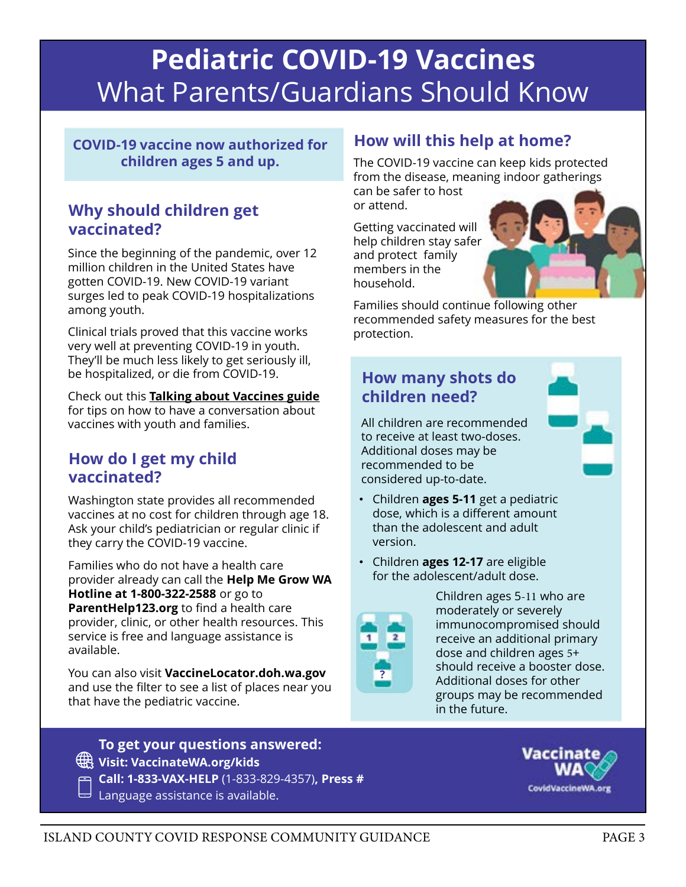# Pediatric COVID-19 Vaccines [What Parents/Guardians Should Know](https://doh.wa.gov/emergencies/covid-19/vaccine-information/vaccinating-youth)

COVID-19 vaccine now authorized for children ages 5 and up.

### Why should children get vaccinated?

Since the beginning of the pandemic, over 12 million children in the United States have gotten COVID-19. New COVID-19 variant surges led to peak COVID-19 hospitalizations among youth.

Clinical trials proved that this vaccine works very well at preventing COVID-19 in youth. They'll be much less likely to get seriously ill, be hospitalized, or die from COVID-19.

Check out this Talking about Vaccines guide for tips on how to have a conversation about vaccines with youth and families.

### How do I get my child vaccinated?

Washington state provides all recommended vaccines at no cost for children through age 18. Ask your child's pediatrician or regular clinic if they carry the COVID-19 vaccine.

Families who do not have a health care provider already can call the Help Me Grow WA Hotline at 1-800-322-2588 or go to ParentHelp123.org to find a health care provider, clinic, or other health resources. This service is free and language assistance is available.

You can also visit VaccineLocator.doh.wa.gov and use the filter to see a list of places near you that have the pediatric vaccine.

To get your questions answered: Visit: VaccinateWA.org/kids Call: 1-833-VAX-HELP (1-833-829-4357), Press #

 $\boxminus$  Language assistance is available.

### How will this help at home?

The COVID-19 vaccine can keep kids protected from the disease, meaning indoor gatherings

can be safer to host or attend.

Getting vaccinated will help children stay safer and protect family members in the household.



Families should continue following other recommended safety measures for the best protection.

### How many shots do children need?

All children are recommended to receive at least two-doses. Additional doses may be recommended to be considered up-to-date.

- Children ages 5-11 get a pediatric dose, which is a different amount than the adolescent and adult version.
- Children ages 12-17 are eligible for the adolescent/adult dose.



Children ages 5-11 who are moderately or severely immunocompromised should receive an additional primary dose and children ages 5+ should receive a booster dose. Additional doses for other groups may be recommended in the future.

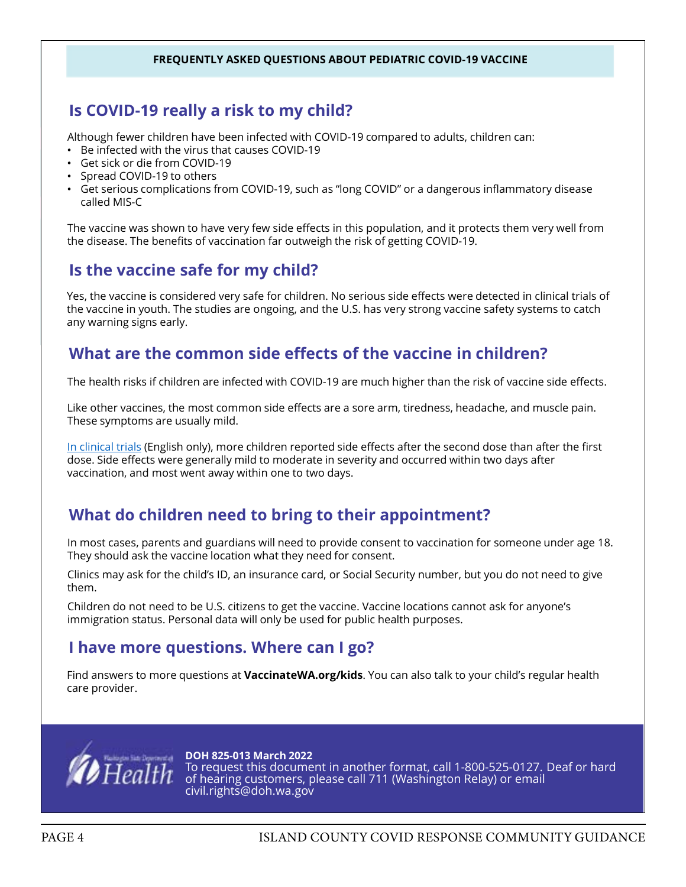#### FREQUENTLY ASKED QUESTIONS ABOUT PEDIATRIC COVID-19 VACCINE

### Is COVID-19 really a risk to my child?

Although fewer children have been infected with COVID-19 compared to adults, children can:

- Be infected with the virus that causes COVID-19
- Get sick or die from COVID-19
- Spread COVID-19 to others
- Get serious complications from COVID-19, such as "long COVID" or a dangerous inflammatory disease called MIS-C

The vaccine was shown to have very few side effects in this population, and it protects them very well from the disease. The benefits of vaccination far outweigh the risk of getting COVID-19.

### Is the vaccine safe for my child?

Yes, the vaccine is considered very safe for children. No serious side effects were detected in clinical trials of the vaccine in youth. The studies are ongoing, and the U.S. has very strong vaccine safety systems to catch any warning signs early.

### [What are the common side effects of the vaccine in children?](https://doh.wa.gov/emergencies/covid-19/vaccine-information/vaccinating-youth)

The health risks if children are infected with COVID-19 are much higher than the risk of vaccine side effects.

Like other vaccines, the most common side effects are a sore arm, tiredness, headache, and muscle pain. These symptoms are usually mild.

In clinical trials (English only), more children reported side effects after the second dose than after the first dose. Side effects were generally mild to moderate in severity and occurred within two days after vaccination, and most went away within one to two days.

### What do children need to bring to their appointment?

In most cases, parents and guardians will need to provide consent to vaccination for someone under age 18. They should ask the vaccine location what they need for consent.

Clinics may ask for the child's ID, an insurance card, or Social Security number, but you do not need to give them.

Children do not need to be U.S. citizens to get the vaccine. Vaccine locations cannot ask for anyone's immigration status. Personal data will only be used for public health purposes.

### I have more questions. Where can I go?

Find answers to more questions at **VaccinateWA.org/kids**. You can also talk to your child's regular health care provider.



DOH 825-013 March 2022 To request this document in another format, call 1-800-525-0127. Deaf or hard of hearing customers, please call 711 (Washington Relay) or email civil.rights@doh.wa.gov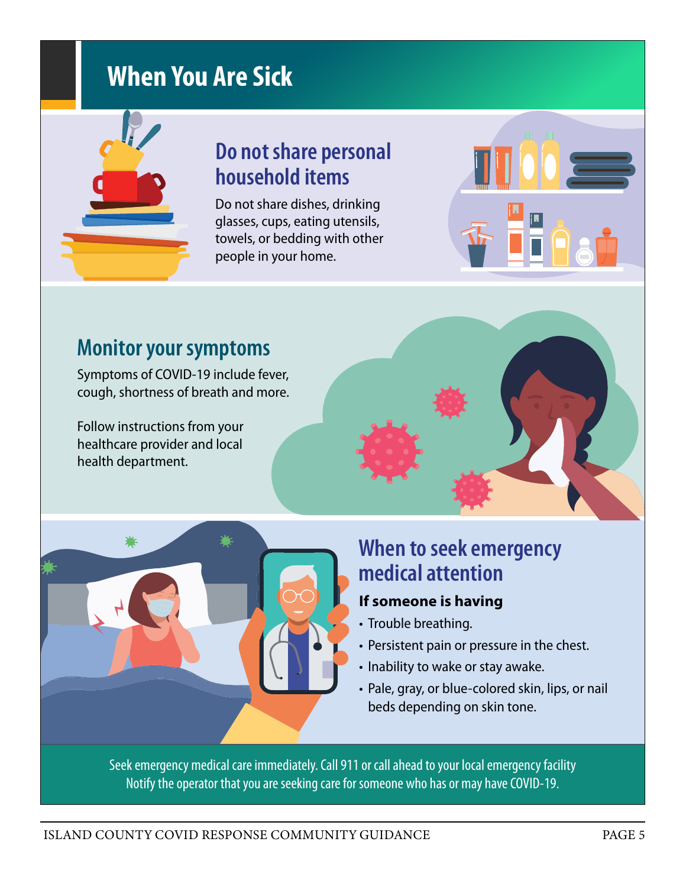# **When You Are Sick**

# **Do not share personal household items**

Do not share dishes, drinking glasses, cups, eating utensils, towels, or bedding with other people in your home.



## **Monitor your symptoms**

Symptoms of COVID-19 include fever, cough, shortness of breath and more.

Follow instructions from your healthcare provider and local health department.



## **When to seek emergency medical attention**

### **If someone is having**

- Trouble breathing.
- . Persistent pain or pressure in the chest.
- Inability to wake or stay awake.
- Pale, gray, or blue-colored skin, lips, or nail beds depending on skin tone.

Seek emergency medical care immediately. Call 911 or call ahead to your local emergency facility Notify the operator that you are seeking care for someone who has or may have COVID-19.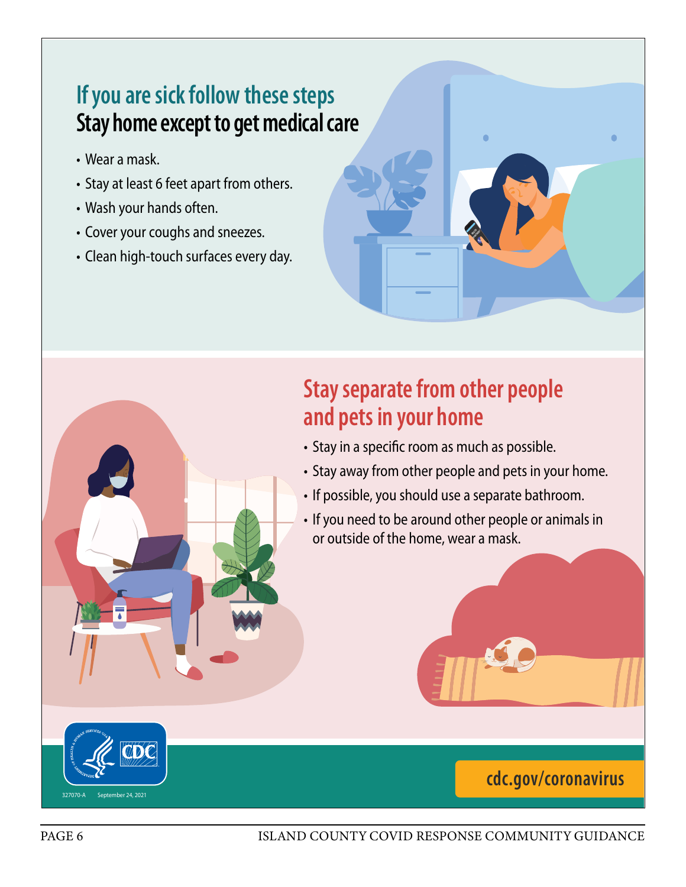# **If you are sick follow these steps [Stay home except to get medical care](https://www.cdc.gov/coronavirus/2019-ncov/your-health/quarantine-isolation.html#closecontact)**

- Wear a mask.
- Stay at least 6 feet apart from others.
- Wash your hands often.
- Cover your coughs and sneezes.
- Clean high-touch surfaces every day.

# **Stay separate from other people and pets in your home**

- Stay in a specific room as much as possible.
- Stay away from other people and pets in your home.

**HEALTH DEPARTMENT** 

- Ja;dlkjfal;sdj asdf;lkjasdl;fkjas;d • If possible, you should use a separate bathroom.
- $\triangledown$   $\blacksquare$  If you need to be around other people or animals in  $\mathbb{Z}$  or outside of the home, wear a mask.  $\mathcal{L}$  or  $\mathcal{L}$

## **cdc.gov/coronavirus**

See JUMP, page x

327070-A September 24, 2021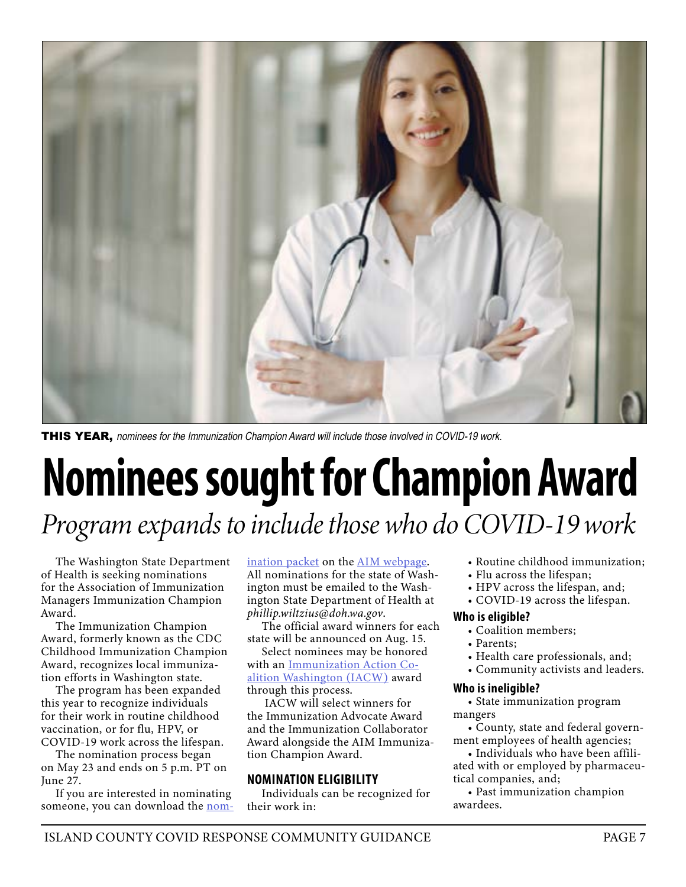

THIS YEAR, nominees for the Immunization Champion Award will include those involved in COVID-19 work.

# Nominees sought for Champion Award *Program expands to include those who do COVID-19 work*

The Washington State Department of Health is seeking nominations for the Association of Immunization Managers Immunization Champion Award.

The Immunization Champion Award, formerly known as the CDC Childhood Immunization Champion Award, recognizes local immunization efforts in Washington state.

The program has been expanded this year to recognize individuals for their work in routine childhood vaccination, or for flu, HPV, or COVID-19 work across the lifespan.

The nomination process began on May 23 and ends on 5 p.m. PT on June 27.

If you are interested in nominating someone, you can download the [nom-](https://www.immunizationmanagers.org/content/uploads/2022/05/2022-AIM-Champion-Award-Program-Nomination-Packet.pdf) [ination packet](https://www.immunizationmanagers.org/content/uploads/2022/05/2022-AIM-Champion-Award-Program-Nomination-Packet.pdf) on the [AIM webpage](https://www.immunizationmanagers.org/about-aim/awards/champion-awards/). All nominations for the state of Washington must be emailed to the Washington State Department of Health at *phillip.wiltzius@doh.wa.gov*.

The official award winners for each state will be announced on Aug. 15.

Select nominees may be honored with an [Immunization Action Co](https://immunitycommunitywa.org/iacw/)[alition Washington \(IACW\)](https://immunitycommunitywa.org/iacw/) award through this process.

 IACW will select winners for the Immunization Advocate Award and the Immunization Collaborator Award alongside the AIM Immunization Champion Award.

#### NOMINATION ELIGIBILITY

Individuals can be recognized for their work in:

- Routine childhood immunization;
- Flu across the lifespan;
- HPV across the lifespan, and;
- COVID-19 across the lifespan.

#### Who is eligible?

- Coalition members;
- Parents;
- Health care professionals, and;
- Community activists and leaders.

#### Who is ineligible?

• State immunization program mangers

• County, state and federal government employees of health agencies;

• Individuals who have been affiliated with or employed by pharmaceutical companies, and;

• Past immunization champion awardees.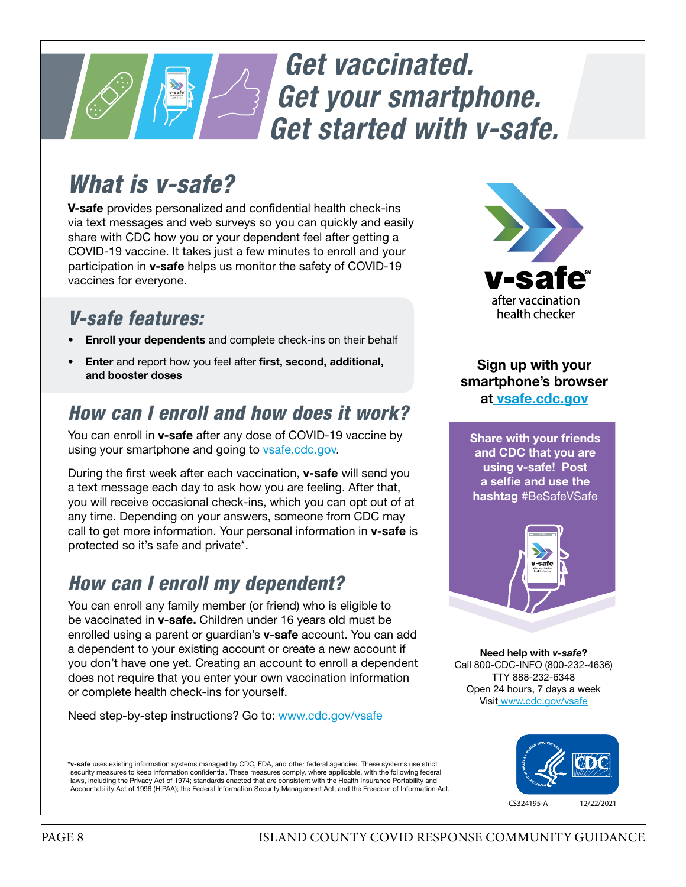# **10:18 AM** *Get vaccinated. Get your smartphone. [Get started with v-safe.](https://www.cdc.gov/coronavirus/2019-ncov/vaccines/safety/vsafe.html)*

# *What is v-safe?*

V-safe provides personalized and confidential health check-ins via text messages and web surveys so you can quickly and easily share with CDC how you or your dependent feel after getting a COVID-19 vaccine. It takes just a few minutes to enroll and your participation in v-safe helps us monitor the safety of COVID-19 vaccines for everyone.

## *V-safe features:*

- **Enroll your dependents** and complete check-ins on their behalf
- Enter and report how you feel after first, second, additional, and booster doses

## *How can I enroll and how does it work?*

You can enroll in **v-safe** after any dose of COVID-19 vaccine by using your smartphone and going to vsafe.cdc.gov.

During the first week after each vaccination, v-safe will send you a text message each day to ask how you are feeling. After that, you will receive occasional check-ins, which you can opt out of at any time. Depending on your answers, someone from CDC may call to get more information. Your personal information in v-safe is protected so it's safe and private\*.

## *How can I enroll my dependent?*

You can enroll any family member (or friend) who is eligible to be vaccinated in **v-safe.** Children under 16 years old must be enrolled using a parent or guardian's v-safe account. You can add a dependent to your existing account or create a new account if you don't have one yet. Creating an account to enroll a dependent does not require that you enter your own vaccination information or complete health check-ins for yourself.

Need step-by-step instructions? Go to: www.cdc.gov/vsafe

\*v-safe uses existing information systems managed by CDC, FDA, and other federal agencies. These systems use strict security measures to keep information confidential. These measures comply, where applicable, with the following federal laws, including the Privacy Act of 1974; standards enacted that are consistent with the Health Insurance Portability and Accountability Act of 1996 (HIPAA); the Federal Information Security Management Act, and the Freedom of Information Act.



Sign up with your smartphone's browser at vsafe.cdc.gov

Share with your friends and CDC that you are using v-safe! Post a selfie and use the hashtag #BeSafeVSafe



Need help with *v-safe*? Call 800-CDC-INFO (800-232-4636) TTY 888-232-6348 Open 24 hours, 7 days a week Visit www.cdc.gov/vsafe

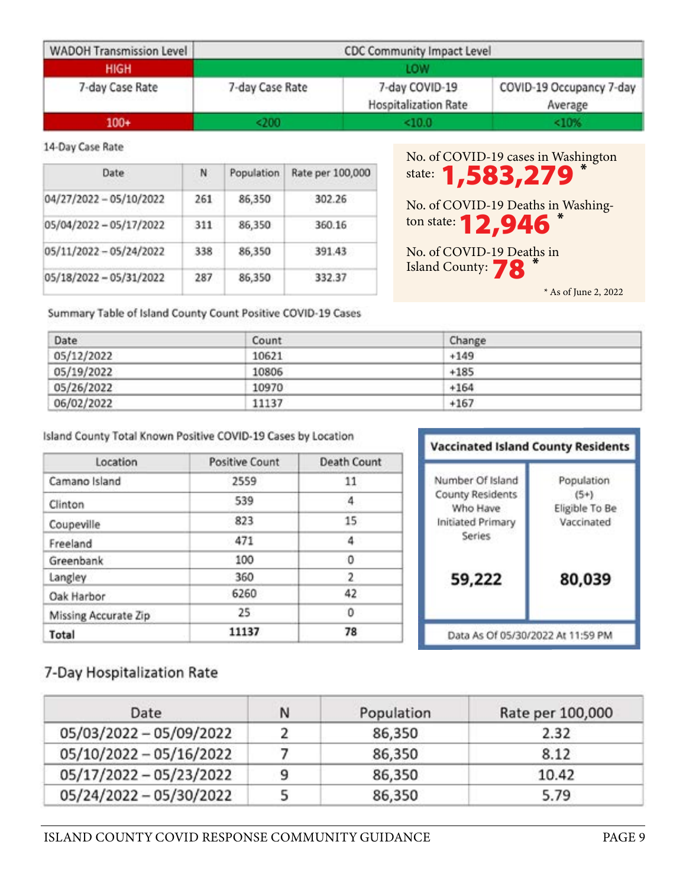| <b>WADOH Transmission Level</b> | CDC Community Impact Level<br>LOW |                                               |                                     |
|---------------------------------|-----------------------------------|-----------------------------------------------|-------------------------------------|
| <b>HIGH</b>                     |                                   |                                               |                                     |
| 7-day Case Rate                 | 7-day Case Rate                   | 7-day COVID-19<br><b>Hospitalization Rate</b> | COVID-19 Occupancy 7-day<br>Average |
| $100+$                          | <200                              | <10.0                                         | <10%                                |

#### 14-Day Case Rate

| Date                    | N   | Population | Rate per 100,000 |
|-------------------------|-----|------------|------------------|
| 04/27/2022 - 05/10/2022 | 261 | 86,350     | 302.26           |
| 05/04/2022 - 05/17/2022 | 311 | 86,350     | 360.16           |
| 05/11/2022 - 05/24/2022 | 338 | 86,350     | 391.43           |
| 05/18/2022 - 05/31/2022 | 287 | 86,350     | 332.37           |

No. of COVID-19 cases in Washington state: **1,583,279<sup>\*</sup>** 

No. of COVID-19 Deaths in Washington state: **12,946** \*

No. of COVID-19 Deaths in Island County: **78** \*

Summary Table of Island County Count Positive COVID-19 Cases

| Date       | Count | Change |  |
|------------|-------|--------|--|
| 05/12/2022 | 10621 | $+149$ |  |
| 05/19/2022 | 10806 | $+185$ |  |
| 05/26/2022 | 10970 | $+164$ |  |
| 06/02/2022 | 11137 | $+167$ |  |

#### Island County Total Known Positive COVID-19 Cases by Location

| Location             | <b>Positive Count</b> | <b>Death Count</b> |  |
|----------------------|-----------------------|--------------------|--|
| Camano Island        | 2559                  | 11                 |  |
| Clinton              | 539                   | 4                  |  |
| Coupeville           | 823                   | 15                 |  |
| Freeland             | 471                   | 4                  |  |
| Greenbank            | 100                   | 0                  |  |
| Langley              | 360                   | 2                  |  |
| Oak Harbor           | 6260                  | 42                 |  |
| Missing Accurate Zip | 25                    | 0                  |  |
| Total                | 11137                 | 78                 |  |

| Number Of Island            | Population     |
|-----------------------------|----------------|
| County Residents            | $(5+)$         |
| Who Have                    | Eligible To Be |
| Initiated Primary<br>Series | Vaccinated     |
| 59,222                      | 80,039         |

### 7-Day Hospitalization Rate

| Date                    | Ν | Population | Rate per 100,000 |
|-------------------------|---|------------|------------------|
| 05/03/2022 - 05/09/2022 |   | 86,350     | 2.32             |
| 05/10/2022 - 05/16/2022 |   | 86,350     | 8.12             |
| 05/17/2022 - 05/23/2022 | q | 86,350     | 10.42            |
| 05/24/2022 - 05/30/2022 |   | 86,350     | 5.79             |

 <sup>\*</sup> As of June 2, 2022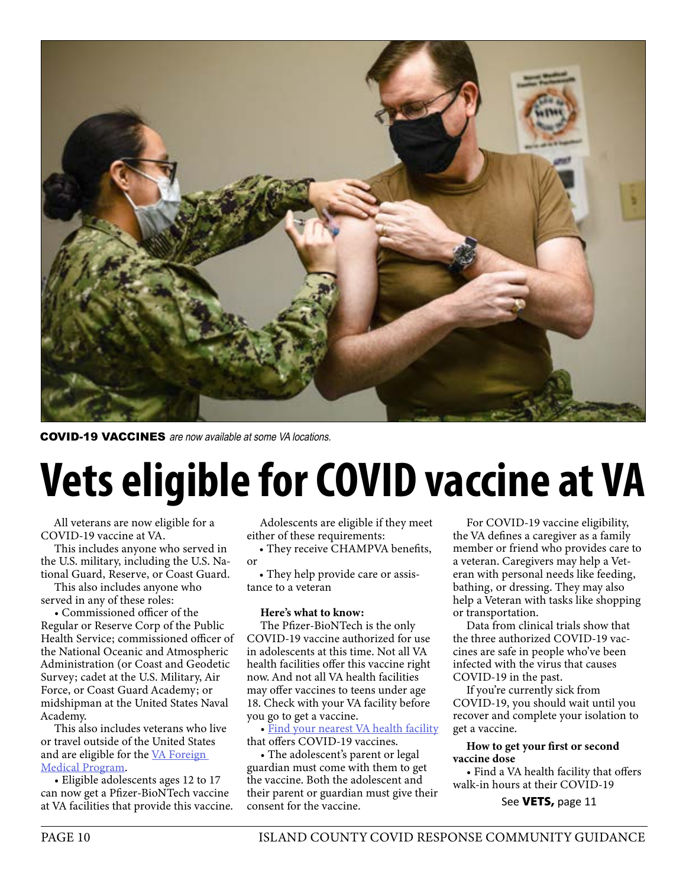

COVID-19 VACCINES are now available at some VA locations.

# Vets eligible for COVID vaccine at VA

All veterans are now eligible for a COVID-19 vaccine at VA.

This includes anyone who served in the U.S. military, including the U.S. National Guard, Reserve, or Coast Guard.

This also includes anyone who served in any of these roles:

• Commissioned officer of the Regular or Reserve Corp of the Public Health Service; commissioned officer of the National Oceanic and Atmospheric Administration (or Coast and Geodetic Survey; cadet at the U.S. Military, Air Force, or Coast Guard Academy; or midshipman at the United States Naval Academy.

This also includes veterans who live or travel outside of the United States and are eligible for the [VA Foreign](https://www.va.gov/COMMUNITYCARE/programs/veterans/fmp/index.asp)  [Medical Program](https://www.va.gov/COMMUNITYCARE/programs/veterans/fmp/index.asp).

• Eligible adolescents ages 12 to 17 can now get a Pfizer-BioNTech vaccine at VA facilities that provide this vaccine.

Adolescents are eligible if they meet either of these requirements:

• They receive CHAMPVA benefits, or

• They help provide care or assistance to a veteran

#### Here's what to know:

The Pfizer-BioNTech is the only COVID-19 vaccine authorized for use in adolescents at this time. Not all VA health facilities offer this vaccine right now. And not all VA health facilities may offer vaccines to teens under age 18. Check with your VA facility before you go to get a vaccine.

• [Find your nearest VA health facility](https://www.va.gov/find-locations/?facilityType=health&serviceType=Covid19Vaccine) that offers COVID-19 vaccines.

• The adolescent's parent or legal guardian must come with them to get the vaccine. Both the adolescent and their parent or guardian must give their consent for the vaccine.

For COVID-19 vaccine eligibility, the VA defines a caregiver as a family member or friend who provides care to a veteran. Caregivers may help a Veteran with personal needs like feeding, bathing, or dressing. They may also help a Veteran with tasks like shopping or transportation.

Data from clinical trials show that the three authorized COVID-19 vaccines are safe in people who've been infected with the virus that causes COVID-19 in the past.

If you're currently sick from COVID-19, you should wait until you recover and complete your isolation to get a vaccine.

#### How to get your first or second vaccine dose

• Find a VA health facility that offers walk-in hours at their COVID-19

See VETS, page 11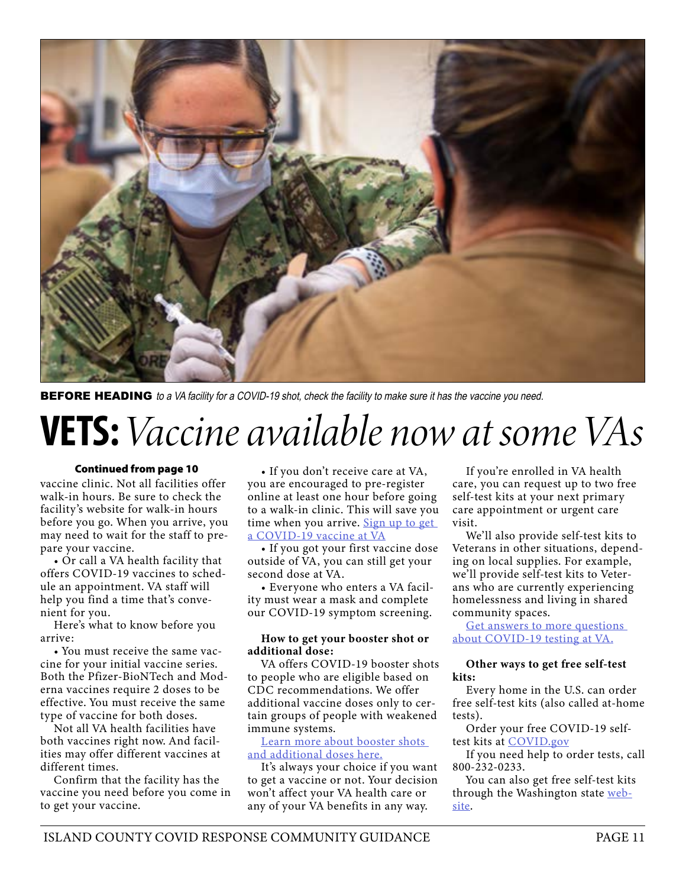

**BEFORE HEADING** to a VA facility for a COVID-19 shot, check the facility to make sure it has the vaccine you need.

# VETS: *Vaccine available now at some VAs*

#### Continued from page 10

vaccine clinic. Not all facilities offer walk-in hours. Be sure to check the facility's website for walk-in hours before you go. When you arrive, you may need to wait for the staff to prepare your vaccine.

• Or call a VA health facility that offers COVID-19 vaccines to schedule an appointment. VA staff will help you find a time that's convenient for you.

Here's what to know before you arrive:

• You must receive the same vaccine for your initial vaccine series. Both the Pfizer-BioNTech and Moderna vaccines require 2 doses to be effective. You must receive the same type of vaccine for both doses.

Not all VA health facilities have both vaccines right now. And facilities may offer different vaccines at different times.

Confirm that the facility has the vaccine you need before you come in to get your vaccine.

• If you don't receive care at VA, you are encouraged to pre-register online at least one hour before going to a walk-in clinic. This will save you time when you arrive. Sign up to get [a COVID-19 vaccine at VA](https://www.va.gov/health-care/covid-19-vaccine/sign-up/introduction)

• If you got your first vaccine dose outside of VA, you can still get your second dose at VA.

• Everyone who enters a VA facility must wear a mask and complete our COVID-19 symptom screening.

#### How to get your booster shot or additional dose:

VA offers COVID-19 booster shots to people who are eligible based on CDC recommendations. We offer additional vaccine doses only to certain groups of people with weakened immune systems.

#### [Learn more about booster shots](https://www.va.gov/health-care/covid-19-vaccine/booster-shots-and-additional-doses/)  [and additional doses here.](https://www.va.gov/health-care/covid-19-vaccine/booster-shots-and-additional-doses/)

It's always your choice if you want to get a vaccine or not. Your decision won't affect your VA health care or any of your VA benefits in any way.

If you're enrolled in VA health care, you can request up to two free self-test kits at your next primary care appointment or urgent care visit.

We'll also provide self-test kits to Veterans in other situations, depending on local supplies. For example, we'll provide self-test kits to Veterans who are currently experiencing homelessness and living in shared community spaces.

Get answers to more questions [about COVID-19 testing at VA.](https://www.va.gov/resources/covid-19-testing-at-va/)

#### Other ways to get free self-test kits:

Every home in the U.S. can order free self-test kits (also called at-home tests).

Order your free COVID-19 selftest kits at [COVID.gov](https://www.covid.gov/tests)

If you need help to order tests, call 800-232-0233.

You can also get free self-test kits through the Washington state [web](https://sayyescovidhometest.org/)[site.](https://sayyescovidhometest.org/)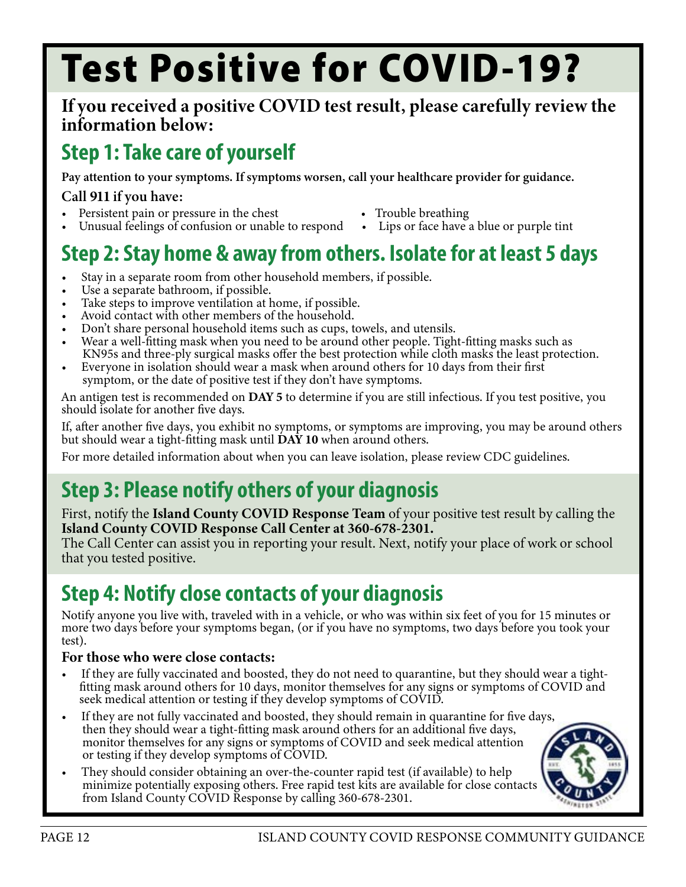# Test Positive for COVID-19?

### If you received a positive COVID test result, please carefully review the information below:

# Step 1: Take care of yourself

Pay attention to your symptoms. If symptoms worsen, call your healthcare provider for guidance.

### Call 911 if you have:

- 
- 
- Persistent pain or pressure in the chest Trouble breathing Unusual feelings of confusion or unable to respond Lips or face have a blue or purple tint

# Step 2: Stay home & away from others. Isolate for at least 5 days

- Stay in a separate room from other household members, if possible. Use a separate bathroom, if possible.
- 
- Take steps to improve ventilation at home, if possible.<br>Avoid contact with other members of the household.
- 
- Don't share personal household items such as cups, towels, and utensils.
- Wear a well-fitting mask when you need to be around other people. Tight-fitting masks such as KN95s and three-ply surgical masks offer the best protection while cloth masks the least protection.
- Everyone in isolation should wear a mask when around others for 10 days from their first symptom, or the date of positive test if they don't have symptoms.

An antigen test is recommended on DAY 5 to determine if you are still infectious. If you test positive, you should isolate for another five days.

If, after another five days, you exhibit no symptoms, or symptoms are improving, you may be around others but should wear a tight-fitting mask until  $\overrightarrow{DAY}$  10 when around others.

For more detailed information about when you can leave isolation, please review [CDC guidelines.](https://www.cdc.gov/coronavirus/2019-ncov/your-health/quarantine-isolation.html#closecontact)

# Step 3: Please notify others of your diagnosis

First, notify the Island County COVID Response Team of your positive test result by calling the Island County COVID Response Call Center at 360-678-2301.

The Call Center can assist you in reporting your result. Next, notify your place of work or school that you tested positive.

# Step 4: Notify close contacts of your diagnosis

Notify anyone you live with, traveled with in a vehicle, or who was within six feet of you for 15 minutes or more two days before your symptoms began, (or if you have no symptoms, two days before you took your test).

#### For those who were close contacts:

- If they are fully vaccinated and boosted, they do not need to quarantine, but they should wear a tight fitting mask around others for 10 days, monitor themselves for any signs or symptoms of COVID and seek medical attention or testing if they develop symptoms of COVID.
- If they are not fully vaccinated and boosted, they should remain in quarantine for five days, then they should wear a tight-fitting mask around others for an additional five days, monitor themselves for any signs or symptoms of COVID and seek medical attention or testing if they develop symptoms of COVID.
- They should consider obtaining an over-the-counter rapid test (if available) to help minimize potentially exposing others. Free rapid test kits are available for close contacts from Island County COVID Response by calling 360-678-2301.